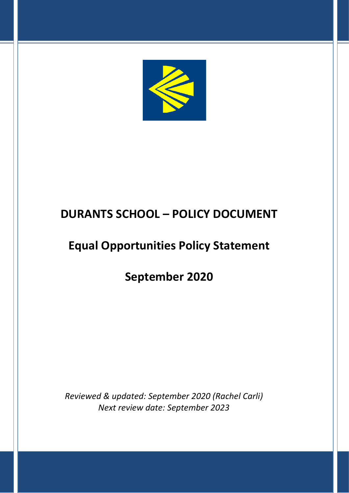

# **DURANTS SCHOOL – POLICY DOCUMENT**

# **Equal Opportunities Policy Statement**

**September 2020**

*Reviewed & updated: September 2020 (Rachel Carli) Next review date: September 2023*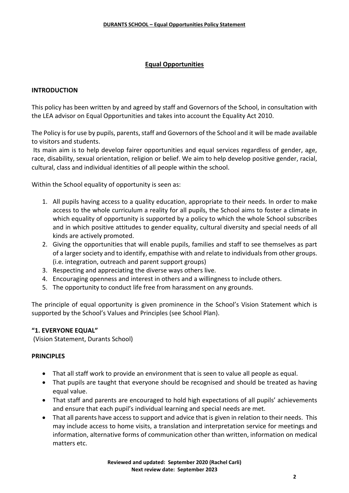## **Equal Opportunities**

## **INTRODUCTION**

This policy has been written by and agreed by staff and Governors of the School, in consultation with the LEA advisor on Equal Opportunities and takes into account the Equality Act 2010.

The Policy is for use by pupils, parents, staff and Governors of the School and it will be made available to visitors and students.

Its main aim is to help develop fairer opportunities and equal services regardless of gender, age, race, disability, sexual orientation, religion or belief. We aim to help develop positive gender, racial, cultural, class and individual identities of all people within the school.

Within the School equality of opportunity is seen as:

- 1. All pupils having access to a quality education, appropriate to their needs. In order to make access to the whole curriculum a reality for all pupils, the School aims to foster a climate in which equality of opportunity is supported by a policy to which the whole School subscribes and in which positive attitudes to gender equality, cultural diversity and special needs of all kinds are actively promoted.
- 2. Giving the opportunities that will enable pupils, families and staff to see themselves as part of a larger society and to identify, empathise with and relate to individuals from other groups. (i.e. integration, outreach and parent support groups)
- 3. Respecting and appreciating the diverse ways others live.
- 4. Encouraging openness and interest in others and a willingness to include others.
- 5. The opportunity to conduct life free from harassment on any grounds.

The principle of equal opportunity is given prominence in the School's Vision Statement which is supported by the School's Values and Principles (see School Plan).

## **"1. EVERYONE EQUAL"**

(Vision Statement, Durants School)

## **PRINCIPLES**

- That all staff work to provide an environment that is seen to value all people as equal.
- That pupils are taught that everyone should be recognised and should be treated as having equal value.
- That staff and parents are encouraged to hold high expectations of all pupils' achievements and ensure that each pupil's individual learning and special needs are met.
- That all parents have access to support and advice that is given in relation to their needs. This may include access to home visits, a translation and interpretation service for meetings and information, alternative forms of communication other than written, information on medical matters etc.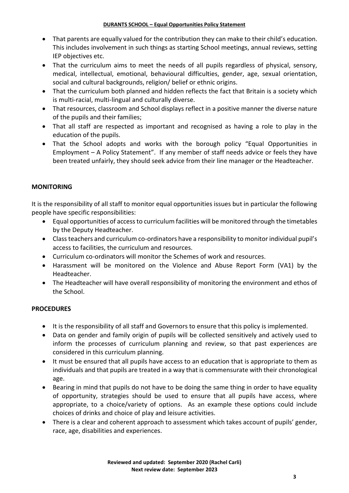- That parents are equally valued for the contribution they can make to their child's education. This includes involvement in such things as starting School meetings, annual reviews, setting IEP objectives etc.
- That the curriculum aims to meet the needs of all pupils regardless of physical, sensory, medical, intellectual, emotional, behavioural difficulties, gender, age, sexual orientation, social and cultural backgrounds, religion/ belief or ethnic origins.
- That the curriculum both planned and hidden reflects the fact that Britain is a society which is multi-racial, multi-lingual and culturally diverse.
- That resources, classroom and School displays reflect in a positive manner the diverse nature of the pupils and their families;
- That all staff are respected as important and recognised as having a role to play in the education of the pupils.
- That the School adopts and works with the borough policy "Equal Opportunities in Employment – A Policy Statement". If any member of staff needs advice or feels they have been treated unfairly, they should seek advice from their line manager or the Headteacher.

# **MONITORING**

It is the responsibility of all staff to monitor equal opportunities issues but in particular the following people have specific responsibilities:

- Equal opportunities of access to curriculum facilities will be monitored through the timetables by the Deputy Headteacher.
- Class teachers and curriculum co-ordinators have a responsibility to monitor individual pupil's access to facilities, the curriculum and resources.
- Curriculum co-ordinators will monitor the Schemes of work and resources.
- Harassment will be monitored on the Violence and Abuse Report Form (VA1) by the Headteacher.
- The Headteacher will have overall responsibility of monitoring the environment and ethos of the School.

# **PROCEDURES**

- It is the responsibility of all staff and Governors to ensure that this policy is implemented.
- Data on gender and family origin of pupils will be collected sensitively and actively used to inform the processes of curriculum planning and review, so that past experiences are considered in this curriculum planning.
- It must be ensured that all pupils have access to an education that is appropriate to them as individuals and that pupils are treated in a way that is commensurate with their chronological age.
- Bearing in mind that pupils do not have to be doing the same thing in order to have equality of opportunity, strategies should be used to ensure that all pupils have access, where appropriate, to a choice/variety of options. As an example these options could include choices of drinks and choice of play and leisure activities.
- There is a clear and coherent approach to assessment which takes account of pupils' gender, race, age, disabilities and experiences.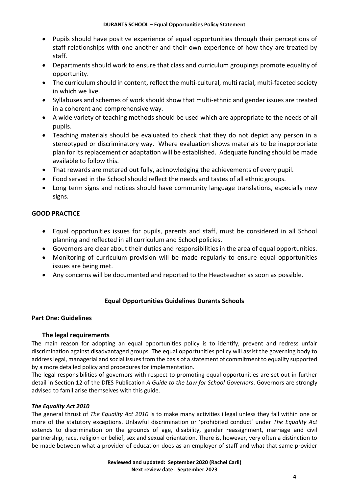- Pupils should have positive experience of equal opportunities through their perceptions of staff relationships with one another and their own experience of how they are treated by staff.
- Departments should work to ensure that class and curriculum groupings promote equality of opportunity.
- The curriculum should in content, reflect the multi-cultural, multi racial, multi-faceted society in which we live.
- Syllabuses and schemes of work should show that multi-ethnic and gender issues are treated in a coherent and comprehensive way.
- A wide variety of teaching methods should be used which are appropriate to the needs of all pupils.
- Teaching materials should be evaluated to check that they do not depict any person in a stereotyped or discriminatory way. Where evaluation shows materials to be inappropriate plan for its replacement or adaptation will be established. Adequate funding should be made available to follow this.
- That rewards are metered out fully, acknowledging the achievements of every pupil.
- Food served in the School should reflect the needs and tastes of all ethnic groups.
- Long term signs and notices should have community language translations, especially new signs.

# **GOOD PRACTICE**

- Equal opportunities issues for pupils, parents and staff, must be considered in all School planning and reflected in all curriculum and School policies.
- Governors are clear about their duties and responsibilities in the area of equal opportunities.
- Monitoring of curriculum provision will be made regularly to ensure equal opportunities issues are being met.
- Any concerns will be documented and reported to the Headteacher as soon as possible.

# **Equal Opportunities Guidelines Durants Schools**

# **Part One: Guidelines**

# **The legal requirements**

The main reason for adopting an equal opportunities policy is to identify, prevent and redress unfair discrimination against disadvantaged groups. The equal opportunities policy will assist the governing body to address legal, managerial and social issues from the basis of a statement of commitment to equality supported by a more detailed policy and procedures for implementation.

The legal responsibilities of governors with respect to promoting equal opportunities are set out in further detail in Section 12 of the DfES Publication *A Guide to the Law for School Governors*. Governors are strongly advised to familiarise themselves with this guide.

## *The Equality Act 2010*

The general thrust of *The Equality Act 2010* is to make many activities illegal unless they fall within one or more of the statutory exceptions. Unlawful discrimination or 'prohibited conduct' under *The Equality Act*  extends to discrimination on the grounds of age, disability, gender reassignment, marriage and civil partnership, race, religion or belief, sex and sexual orientation. There is, however, very often a distinction to be made between what a provider of education does as an employer of staff and what that same provider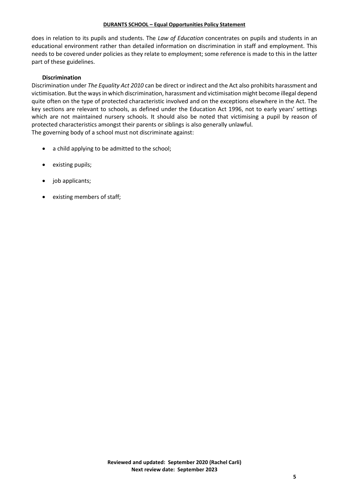does in relation to its pupils and students. The *Law of Education* concentrates on pupils and students in an educational environment rather than detailed information on discrimination in staff and employment. This needs to be covered under policies as they relate to employment; some reference is made to this in the latter part of these guidelines.

## **Discrimination**

Discrimination under *The Equality Act 2010* can be direct or indirect and the Act also prohibits harassment and victimisation. But the ways in which discrimination, harassment and victimisation might become illegal depend quite often on the type of protected characteristic involved and on the exceptions elsewhere in the Act. The key sections are relevant to schools, as defined under the Education Act 1996, not to early years' settings which are not maintained nursery schools. It should also be noted that victimising a pupil by reason of protected characteristics amongst their parents or siblings is also generally unlawful. The governing body of a school must not discriminate against:

- a child applying to be admitted to the school;
- existing pupils;
- job applicants;
- existing members of staff;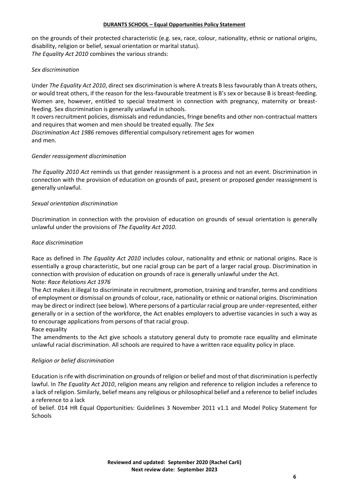on the grounds of their protected characteristic (e.g. sex, race, colour, nationality, ethnic or national origins, disability, religion or belief, sexual orientation or marital status). *The Equality Act 2010* combines the various strands:

## *Sex discrimination*

Under *The Equality Act 2010*, direct sex discrimination is where A treats B less favourably than A treats others, or would treat others, if the reason for the less-favourable treatment is B's sex or because B is breast-feeding. Women are, however, entitled to special treatment in connection with pregnancy, maternity or breastfeeding. Sex discrimination is generally unlawful in schools.

It covers recruitment policies, dismissals and redundancies, fringe benefits and other non-contractual matters and requires that women and men should be treated equally*. The Sex* 

*Discrimination Act 1986* removes differential compulsory retirement ages for women and men.

## *Gender reassignment discrimination*

*The Equality 2010 Act* reminds us that gender reassignment is a process and not an event. Discrimination in connection with the provision of education on grounds of past, present or proposed gender reassignment is generally unlawful.

## *Sexual orientation discrimination*

Discrimination in connection with the provision of education on grounds of sexual orientation is generally unlawful under the provisions of *The Equality Act 2010*.

## *Race discrimination*

Race as defined in *The Equality Act 2010* includes colour, nationality and ethnic or national origins. Race is essentially a group characteristic, but one racial group can be part of a larger racial group. Discrimination in connection with provision of education on grounds of race is generally unlawful under the Act.

## Note: *Race Relations Act 1976*

The Act makes it illegal to discriminate in recruitment, promotion, training and transfer, terms and conditions of employment or dismissal on grounds of colour, race, nationality or ethnic or national origins. Discrimination may be direct or indirect (see below). Where persons of a particular racial group are under-represented, either generally or in a section of the workforce, the Act enables employers to advertise vacancies in such a way as to encourage applications from persons of that racial group.

## Race equality

The amendments to the Act give schools a statutory general duty to promote race equality and eliminate unlawful racial discrimination. All schools are required to have a written race equality policy in place.

## *Religion or belief discrimination*

Education is rife with discrimination on grounds of religion or belief and most of that discrimination is perfectly lawful. In *The Equality Act 2010*, religion means any religion and reference to religion includes a reference to a lack of religion. Similarly, belief means any religious or philosophical belief and a reference to belief includes a reference to a lack

of belief. 014 HR Equal Opportunities: Guidelines 3 November 2011 v1.1 and Model Policy Statement for **Schools**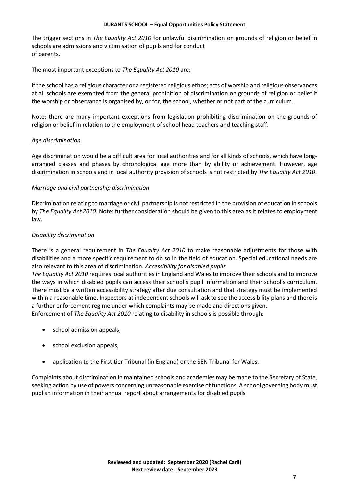The trigger sections in *The Equality Act 2010* for unlawful discrimination on grounds of religion or belief in schools are admissions and victimisation of pupils and for conduct of parents.

The most important exceptions to *The Equality Act 2010* are:

if the school has a religious character or a registered religious ethos; acts of worship and religious observances at all schools are exempted from the general prohibition of discrimination on grounds of religion or belief if the worship or observance is organised by, or for, the school, whether or not part of the curriculum.

Note: there are many important exceptions from legislation prohibiting discrimination on the grounds of religion or belief in relation to the employment of school head teachers and teaching staff.

## *Age discrimination*

Age discrimination would be a difficult area for local authorities and for all kinds of schools, which have longarranged classes and phases by chronological age more than by ability or achievement. However, age discrimination in schools and in local authority provision of schools is not restricted by *The Equality Act 2010*.

## *Marriage and civil partnership discrimination*

Discrimination relating to marriage or civil partnership is not restricted in the provision of education in schools by *The Equality Act 2010*. Note: further consideration should be given to this area as it relates to employment law.

## *Disability discrimination*

There is a general requirement in *The Equality Act 2010* to make reasonable adjustments for those with disabilities and a more specific requirement to do so in the field of education. Special educational needs are also relevant to this area of discrimination. *Accessibility for disabled pupils* 

*The Equality Act 2010* requires local authorities in England and Wales to improve their schools and to improve the ways in which disabled pupils can access their school's pupil information and their school's curriculum. There must be a written accessibility strategy after due consultation and that strategy must be implemented within a reasonable time. Inspectors at independent schools will ask to see the accessibility plans and there is a further enforcement regime under which complaints may be made and directions given. Enforcement of *The Equality Act 2010* relating to disability in schools is possible through:

- school admission appeals;
- school exclusion appeals;
- application to the First-tier Tribunal (in England) or the SEN Tribunal for Wales.

Complaints about discrimination in maintained schools and academies may be made to the Secretary of State, seeking action by use of powers concerning unreasonable exercise of functions. A school governing body must publish information in their annual report about arrangements for disabled pupils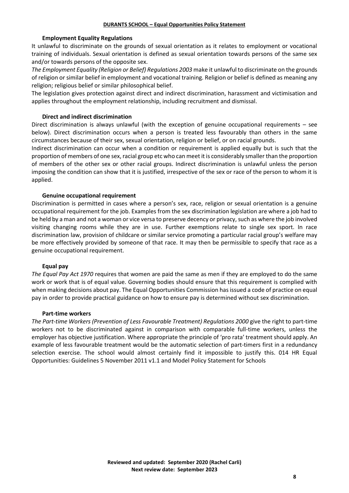#### **Employment Equality Regulations**

It unlawful to discriminate on the grounds of sexual orientation as it relates to employment or vocational training of individuals. Sexual orientation is defined as sexual orientation towards persons of the same sex and/or towards persons of the opposite sex.

*The Employment Equality (Religion or Belief) Regulations 2003* make it unlawful to discriminate on the grounds of religion or similar belief in employment and vocational training. Religion or belief is defined as meaning any religion; religious belief or similar philosophical belief.

The legislation gives protection against direct and indirect discrimination, harassment and victimisation and applies throughout the employment relationship, including recruitment and dismissal.

#### **Direct and indirect discrimination**

Direct discrimination is always unlawful (with the exception of genuine occupational requirements – see below). Direct discrimination occurs when a person is treated less favourably than others in the same circumstances because of their sex, sexual orientation, religion or belief, or on racial grounds.

Indirect discrimination can occur when a condition or requirement is applied equally but is such that the proportion of members of one sex, racial group etc who can meet it is considerably smaller than the proportion of members of the other sex or other racial groups. Indirect discrimination is unlawful unless the person imposing the condition can show that it is justified, irrespective of the sex or race of the person to whom it is applied.

#### **Genuine occupational requirement**

Discrimination is permitted in cases where a person's sex, race, religion or sexual orientation is a genuine occupational requirement for the job. Examples from the sex discrimination legislation are where a job had to be held by a man and not a woman or vice versa to preserve decency or privacy, such as where the job involved visiting changing rooms while they are in use. Further exemptions relate to single sex sport. In race discrimination law, provision of childcare or similar service promoting a particular racial group's welfare may be more effectively provided by someone of that race. It may then be permissible to specify that race as a genuine occupational requirement.

#### **Equal pay**

*The Equal Pay Act 1970* requires that women are paid the same as men if they are employed to do the same work or work that is of equal value. Governing bodies should ensure that this requirement is complied with when making decisions about pay. The Equal Opportunities Commission has issued a code of practice on equal pay in order to provide practical guidance on how to ensure pay is determined without sex discrimination.

#### **Part-time workers**

*The Part-time Workers (Prevention of Less Favourable Treatment) Regulations 2000* give the right to part-time workers not to be discriminated against in comparison with comparable full-time workers, unless the employer has objective justification. Where appropriate the principle of 'pro rata' treatment should apply. An example of less favourable treatment would be the automatic selection of part-timers first in a redundancy selection exercise. The school would almost certainly find it impossible to justify this. 014 HR Equal Opportunities: Guidelines 5 November 2011 v1.1 and Model Policy Statement for Schools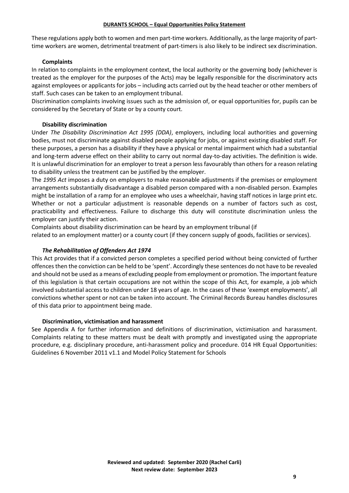These regulations apply both to women and men part-time workers. Additionally, as the large majority of parttime workers are women, detrimental treatment of part-timers is also likely to be indirect sex discrimination.

## **Complaints**

In relation to complaints in the employment context, the local authority or the governing body (whichever is treated as the employer for the purposes of the Acts) may be legally responsible for the discriminatory acts against employees or applicants for jobs – including acts carried out by the head teacher or other members of staff. Such cases can be taken to an employment tribunal.

Discrimination complaints involving issues such as the admission of, or equal opportunities for, pupils can be considered by the Secretary of State or by a county court.

## **Disability discrimination**

Under *The Disability Discrimination Act 1995 (DDA)*, employers, including local authorities and governing bodies, must not discriminate against disabled people applying for jobs, or against existing disabled staff. For these purposes, a person has a disability if they have a physical or mental impairment which had a substantial and long-term adverse effect on their ability to carry out normal day-to-day activities. The definition is wide. It is unlawful discrimination for an employer to treat a person less favourably than others for a reason relating to disability unless the treatment can be justified by the employer.

The *1995 Act* imposes a duty on employers to make reasonable adjustments if the premises or employment arrangements substantially disadvantage a disabled person compared with a non-disabled person. Examples might be installation of a ramp for an employee who uses a wheelchair, having staff notices in large print etc. Whether or not a particular adjustment is reasonable depends on a number of factors such as cost, practicability and effectiveness. Failure to discharge this duty will constitute discrimination unless the employer can justify their action.

Complaints about disability discrimination can be heard by an employment tribunal (if related to an employment matter) or a county court (if they concern supply of goods, facilities or services).

## *The Rehabilitation of Offenders Act 1974*

This Act provides that if a convicted person completes a specified period without being convicted of further offences then the conviction can be held to be 'spent'. Accordingly these sentences do not have to be revealed and should not be used as a means of excluding people from employment or promotion. The important feature of this legislation is that certain occupations are not within the scope of this Act, for example, a job which involved substantial access to children under 18 years of age. In the cases of these 'exempt employments', all convictions whether spent or not can be taken into account. The Criminal Records Bureau handles disclosures of this data prior to appointment being made.

## **Discrimination, victimisation and harassment**

See Appendix A for further information and definitions of discrimination, victimisation and harassment. Complaints relating to these matters must be dealt with promptly and investigated using the appropriate procedure, e.g. disciplinary procedure, anti-harassment policy and procedure. 014 HR Equal Opportunities: Guidelines 6 November 2011 v1.1 and Model Policy Statement for Schools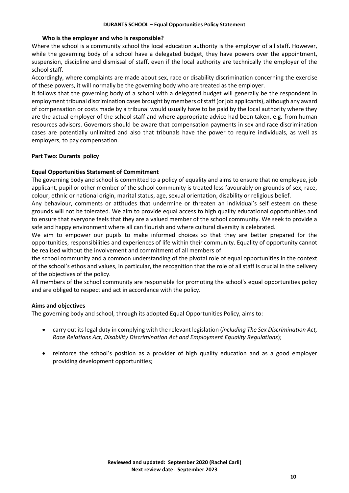## **Who is the employer and who is responsible?**

Where the school is a community school the local education authority is the employer of all staff. However, while the governing body of a school have a delegated budget, they have powers over the appointment, suspension, discipline and dismissal of staff, even if the local authority are technically the employer of the school staff.

Accordingly, where complaints are made about sex, race or disability discrimination concerning the exercise of these powers, it will normally be the governing body who are treated as the employer.

It follows that the governing body of a school with a delegated budget will generally be the respondent in employment tribunal discrimination cases brought by members of staff (or job applicants), although any award of compensation or costs made by a tribunal would usually have to be paid by the local authority where they are the actual employer of the school staff and where appropriate advice had been taken, e.g. from human resources advisors. Governors should be aware that compensation payments in sex and race discrimination cases are potentially unlimited and also that tribunals have the power to require individuals, as well as employers, to pay compensation.

## **Part Two: Durants policy**

## **Equal Opportunities Statement of Commitment**

The governing body and school is committed to a policy of equality and aims to ensure that no employee, job applicant, pupil or other member of the school community is treated less favourably on grounds of sex, race, colour, ethnic or national origin, marital status, age, sexual orientation, disability or religious belief.

Any behaviour, comments or attitudes that undermine or threaten an individual's self esteem on these grounds will not be tolerated. We aim to provide equal access to high quality educational opportunities and to ensure that everyone feels that they are a valued member of the school community. We seek to provide a safe and happy environment where all can flourish and where cultural diversity is celebrated.

We aim to empower our pupils to make informed choices so that they are better prepared for the opportunities, responsibilities and experiences of life within their community. Equality of opportunity cannot be realised without the involvement and commitment of all members of

the school community and a common understanding of the pivotal role of equal opportunities in the context of the school's ethos and values, in particular, the recognition that the role of all staff is crucial in the delivery of the objectives of the policy.

All members of the school community are responsible for promoting the school's equal opportunities policy and are obliged to respect and act in accordance with the policy.

#### **Aims and objectives**

The governing body and school, through its adopted Equal Opportunities Policy, aims to:

- carry out its legal duty in complying with the relevant legislation (*including The Sex Discrimination Act, Race Relations Act, Disability Discrimination Act and Employment Equality Regulations*);
- reinforce the school's position as a provider of high quality education and as a good employer providing development opportunities;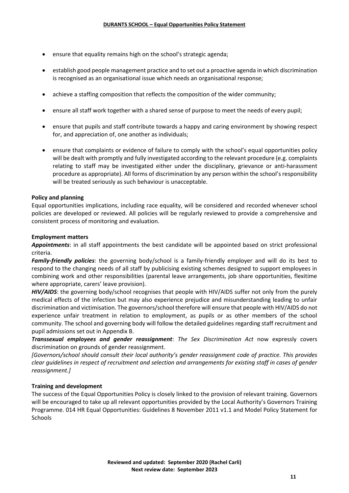- ensure that equality remains high on the school's strategic agenda;
- establish good people management practice and to set out a proactive agenda in which discrimination is recognised as an organisational issue which needs an organisational response;
- achieve a staffing composition that reflects the composition of the wider community;
- ensure all staff work together with a shared sense of purpose to meet the needs of every pupil;
- ensure that pupils and staff contribute towards a happy and caring environment by showing respect for, and appreciation of, one another as individuals;
- ensure that complaints or evidence of failure to comply with the school's equal opportunities policy will be dealt with promptly and fully investigated according to the relevant procedure (e.g. complaints relating to staff may be investigated either under the disciplinary, grievance or anti-harassment procedure as appropriate). All forms of discrimination by any person within the school's responsibility will be treated seriously as such behaviour is unacceptable.

## **Policy and planning**

Equal opportunities implications, including race equality, will be considered and recorded whenever school policies are developed or reviewed. All policies will be regularly reviewed to provide a comprehensive and consistent process of monitoring and evaluation.

## **Employment matters**

*Appointments*: in all staff appointments the best candidate will be appointed based on strict professional criteria.

*Family-friendly policies*: the governing body/school is a family-friendly employer and will do its best to respond to the changing needs of all staff by publicising existing schemes designed to support employees in combining work and other responsibilities (parental leave arrangements, job share opportunities, flexitime where appropriate, carers' leave provision).

*HIV/AIDS*: the governing body/school recognises that people with HIV/AIDS suffer not only from the purely medical effects of the infection but may also experience prejudice and misunderstanding leading to unfair discrimination and victimisation. The governors/school therefore will ensure that people with HIV/AIDS do not experience unfair treatment in relation to employment, as pupils or as other members of the school community. The school and governing body will follow the detailed guidelines regarding staff recruitment and pupil admissions set out in Appendix B.

*Transsexual employees and gender reassignment*: *The Sex Discrimination Act* now expressly covers discrimination on grounds of gender reassignment.

*[Governors/school should consult their local authority's gender reassignment code of practice. This provides clear guidelines in respect of recruitment and selection and arrangements for existing staff in cases of gender reassignment.]* 

## **Training and development**

The success of the Equal Opportunities Policy is closely linked to the provision of relevant training. Governors will be encouraged to take up all relevant opportunities provided by the Local Authority's Governors Training Programme. 014 HR Equal Opportunities: Guidelines 8 November 2011 v1.1 and Model Policy Statement for **Schools**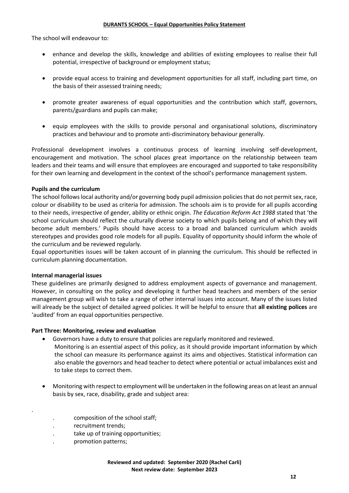The school will endeavour to:

- enhance and develop the skills, knowledge and abilities of existing employees to realise their full potential, irrespective of background or employment status;
- provide equal access to training and development opportunities for all staff, including part time, on the basis of their assessed training needs;
- promote greater awareness of equal opportunities and the contribution which staff, governors, parents/guardians and pupils can make;
- equip employees with the skills to provide personal and organisational solutions, discriminatory practices and behaviour and to promote anti-discriminatory behaviour generally.

Professional development involves a continuous process of learning involving self-development, encouragement and motivation. The school places great importance on the relationship between team leaders and their teams and will ensure that employees are encouraged and supported to take responsibility for their own learning and development in the context of the school's performance management system.

## **Pupils and the curriculum**

The school follows local authority and/or governing body pupil admission policies that do not permit sex, race, colour or disability to be used as criteria for admission. The schools aim is to provide for all pupils according to their needs, irrespective of gender, ability or ethnic origin. *The Education Reform Act 1988* stated that 'the school curriculum should reflect the culturally diverse society to which pupils belong and of which they will become adult members.' Pupils should have access to a broad and balanced curriculum which avoids stereotypes and provides good role models for all pupils. Equality of opportunity should inform the whole of the curriculum and be reviewed regularly.

Equal opportunities issues will be taken account of in planning the curriculum. This should be reflected in curriculum planning documentation.

## **Internal managerial issues**

These guidelines are primarily designed to address employment aspects of governance and management. However, in consulting on the policy and developing it further head teachers and members of the senior management group will wish to take a range of other internal issues into account. Many of the issues listed will already be the subject of detailed agreed policies. It will be helpful to ensure that **all existing polices** are 'audited' from an equal opportunities perspective.

## **Part Three: Monitoring, review and evaluation**

- Governors have a duty to ensure that policies are regularly monitored and reviewed.
- Monitoring is an essential aspect of this policy, as it should provide important information by which the school can measure its performance against its aims and objectives. Statistical information can also enable the governors and head teacher to detect where potential or actual imbalances exist and to take steps to correct them.
- Monitoring with respect to employment will be undertaken in the following areas on at least an annual basis by sex, race, disability, grade and subject area:
	- . composition of the school staff;
	- . recruitment trends;

.

- . take up of training opportunities;
- . promotion patterns;

**Reviewed and updated: September 2020 (Rachel Carli) Next review date: September 2023**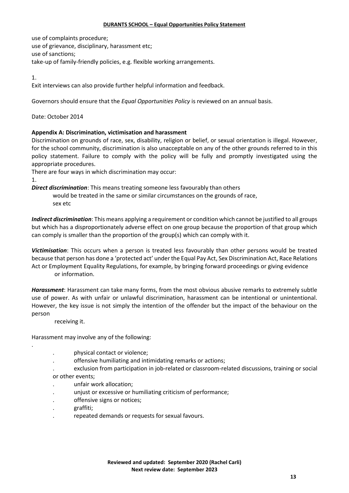use of complaints procedure; use of grievance, disciplinary, harassment etc; use of sanctions; take-up of family-friendly policies, e.g. flexible working arrangements.

1.

Exit interviews can also provide further helpful information and feedback.

Governors should ensure that the *Equal Opportunities Policy* is reviewed on an annual basis.

Date: October 2014

## **Appendix A: Discrimination, victimisation and harassment**

Discrimination on grounds of race, sex, disability, religion or belief, or sexual orientation is illegal. However, for the school community, discrimination is also unacceptable on any of the other grounds referred to in this policy statement. Failure to comply with the policy will be fully and promptly investigated using the appropriate procedures.

There are four ways in which discrimination may occur:

1.

.

*Direct discrimination*: This means treating someone less favourably than others

would be treated in the same or similar circumstances on the grounds of race, sex etc

*Indirect discrimination*: This means applying a requirement or condition which cannot be justified to all groups but which has a disproportionately adverse effect on one group because the proportion of that group which can comply is smaller than the proportion of the group(s) which can comply with it.

*Victimisation*: This occurs when a person is treated less favourably than other persons would be treated because that person has done a 'protected act' under the Equal Pay Act, Sex Discrimination Act, Race Relations Act or Employment Equality Regulations, for example, by bringing forward proceedings or giving evidence or information.

*Harassment*: Harassment can take many forms, from the most obvious abusive remarks to extremely subtle use of power. As with unfair or unlawful discrimination, harassment can be intentional or unintentional. However, the key issue is not simply the intention of the offender but the impact of the behaviour on the person

receiving it.

Harassment may involve any of the following:

- . physical contact or violence;
- . offensive humiliating and intimidating remarks or actions;
- . exclusion from participation in job-related or classroom-related discussions, training or social or other events;
- . unfair work allocation;
- . unjust or excessive or humiliating criticism of performance;
- offensive signs or notices;
- . graffiti;
- . repeated demands or requests for sexual favours.